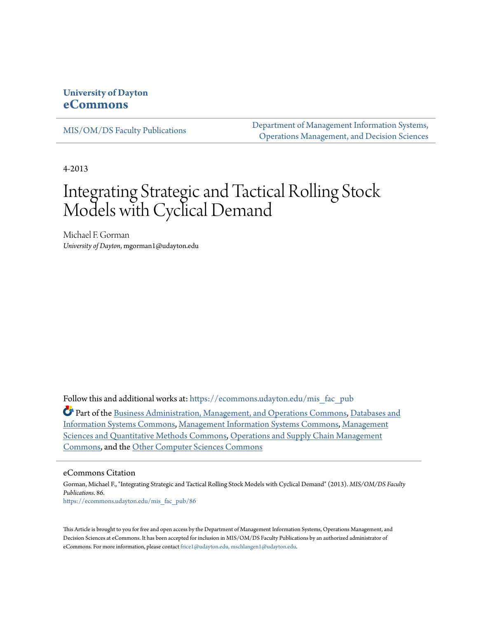## **University of Dayton [eCommons](https://ecommons.udayton.edu?utm_source=ecommons.udayton.edu%2Fmis_fac_pub%2F86&utm_medium=PDF&utm_campaign=PDFCoverPages)**

[MIS/OM/DS Faculty Publications](https://ecommons.udayton.edu/mis_fac_pub?utm_source=ecommons.udayton.edu%2Fmis_fac_pub%2F86&utm_medium=PDF&utm_campaign=PDFCoverPages)

[Department of Management Information Systems,](https://ecommons.udayton.edu/mis?utm_source=ecommons.udayton.edu%2Fmis_fac_pub%2F86&utm_medium=PDF&utm_campaign=PDFCoverPages) [Operations Management, and Decision Sciences](https://ecommons.udayton.edu/mis?utm_source=ecommons.udayton.edu%2Fmis_fac_pub%2F86&utm_medium=PDF&utm_campaign=PDFCoverPages)

4-2013

# Integrating Strategic and Tactical Rolling Stock Models with Cyclical Demand

Michael F. Gorman *University of Dayton*, mgorman1@udayton.edu

Follow this and additional works at: [https://ecommons.udayton.edu/mis\\_fac\\_pub](https://ecommons.udayton.edu/mis_fac_pub?utm_source=ecommons.udayton.edu%2Fmis_fac_pub%2F86&utm_medium=PDF&utm_campaign=PDFCoverPages)

Part of the [Business Administration, Management, and Operations Commons](http://network.bepress.com/hgg/discipline/623?utm_source=ecommons.udayton.edu%2Fmis_fac_pub%2F86&utm_medium=PDF&utm_campaign=PDFCoverPages), [Databases and](http://network.bepress.com/hgg/discipline/145?utm_source=ecommons.udayton.edu%2Fmis_fac_pub%2F86&utm_medium=PDF&utm_campaign=PDFCoverPages) [Information Systems Commons](http://network.bepress.com/hgg/discipline/145?utm_source=ecommons.udayton.edu%2Fmis_fac_pub%2F86&utm_medium=PDF&utm_campaign=PDFCoverPages), [Management Information Systems Commons,](http://network.bepress.com/hgg/discipline/636?utm_source=ecommons.udayton.edu%2Fmis_fac_pub%2F86&utm_medium=PDF&utm_campaign=PDFCoverPages) [Management](http://network.bepress.com/hgg/discipline/637?utm_source=ecommons.udayton.edu%2Fmis_fac_pub%2F86&utm_medium=PDF&utm_campaign=PDFCoverPages) [Sciences and Quantitative Methods Commons](http://network.bepress.com/hgg/discipline/637?utm_source=ecommons.udayton.edu%2Fmis_fac_pub%2F86&utm_medium=PDF&utm_campaign=PDFCoverPages), [Operations and Supply Chain Management](http://network.bepress.com/hgg/discipline/1229?utm_source=ecommons.udayton.edu%2Fmis_fac_pub%2F86&utm_medium=PDF&utm_campaign=PDFCoverPages) [Commons,](http://network.bepress.com/hgg/discipline/1229?utm_source=ecommons.udayton.edu%2Fmis_fac_pub%2F86&utm_medium=PDF&utm_campaign=PDFCoverPages) and the [Other Computer Sciences Commons](http://network.bepress.com/hgg/discipline/152?utm_source=ecommons.udayton.edu%2Fmis_fac_pub%2F86&utm_medium=PDF&utm_campaign=PDFCoverPages)

#### eCommons Citation

Gorman, Michael F., "Integrating Strategic and Tactical Rolling Stock Models with Cyclical Demand" (2013). *MIS/OM/DS Faculty Publications*. 86. [https://ecommons.udayton.edu/mis\\_fac\\_pub/86](https://ecommons.udayton.edu/mis_fac_pub/86?utm_source=ecommons.udayton.edu%2Fmis_fac_pub%2F86&utm_medium=PDF&utm_campaign=PDFCoverPages)

This Article is brought to you for free and open access by the Department of Management Information Systems, Operations Management, and Decision Sciences at eCommons. It has been accepted for inclusion in MIS/OM/DS Faculty Publications by an authorized administrator of eCommons. For more information, please contact [frice1@udayton.edu, mschlangen1@udayton.edu](mailto:frice1@udayton.edu,%20mschlangen1@udayton.edu).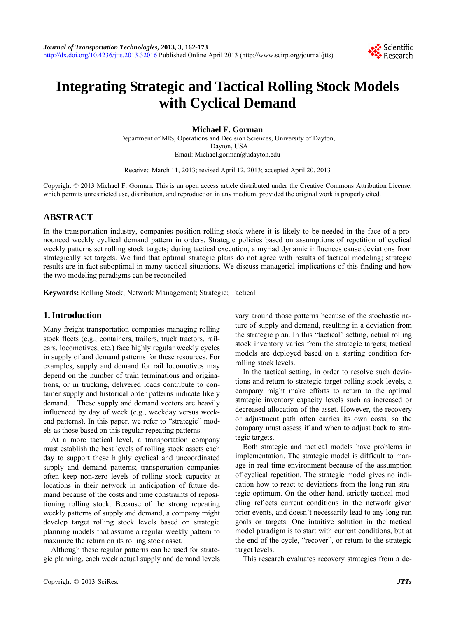

## **Integrating Strategic and Tactical Rolling Stock Models with Cyclical Demand**

**Michael F. Gorman** 

Department of MIS, Operations and Decision Sciences, University of Dayton, Dayton, USA Email: Michael.gorman@udayton.edu

Received March 11, 2013; revised April 12, 2013; accepted April 20, 2013

Copyright © 2013 Michael F. Gorman. This is an open access article distributed under the Creative Commons Attribution License, which permits unrestricted use, distribution, and reproduction in any medium, provided the original work is properly cited.

## **ABSTRACT**

In the transportation industry, companies position rolling stock where it is likely to be needed in the face of a pronounced weekly cyclical demand pattern in orders. Strategic policies based on assumptions of repetition of cyclical weekly patterns set rolling stock targets; during tactical execution, a myriad dynamic influences cause deviations from strategically set targets. We find that optimal strategic plans do not agree with results of tactical modeling; strategic results are in fact suboptimal in many tactical situations. We discuss managerial implications of this finding and how the two modeling paradigms can be reconciled.

**Keywords:** Rolling Stock; Network Management; Strategic; Tactical

## **1. Introduction**

Many freight transportation companies managing rolling stock fleets (e.g., containers, trailers, truck tractors, railcars, locomotives, etc.) face highly regular weekly cycles in supply of and demand patterns for these resources. For examples, supply and demand for rail locomotives may depend on the number of train terminations and originations, or in trucking, delivered loads contribute to container supply and historical order patterns indicate likely demand. These supply and demand vectors are heavily influenced by day of week (e.g., weekday versus weekend patterns). In this paper, we refer to "strategic" models as those based on this regular repeating patterns.

At a more tactical level, a transportation company must establish the best levels of rolling stock assets each day to support these highly cyclical and uncoordinated supply and demand patterns; transportation companies often keep non-zero levels of rolling stock capacity at locations in their network in anticipation of future demand because of the costs and time constraints of repositioning rolling stock. Because of the strong repeating weekly patterns of supply and demand, a company might develop target rolling stock levels based on strategic planning models that assume a regular weekly pattern to maximize the return on its rolling stock asset.

Although these regular patterns can be used for strategic planning, each week actual supply and demand levels vary around those patterns because of the stochastic nature of supply and demand, resulting in a deviation from the strategic plan. In this "tactical" setting, actual rolling stock inventory varies from the strategic targets; tactical models are deployed based on a starting condition forrolling stock levels.

In the tactical setting, in order to resolve such deviations and return to strategic target rolling stock levels, a company might make efforts to return to the optimal strategic inventory capacity levels such as increased or decreased allocation of the asset. However, the recovery or adjustment path often carries its own costs, so the company must assess if and when to adjust back to strategic targets.

Both strategic and tactical models have problems in implementation. The strategic model is difficult to manage in real time environment because of the assumption of cyclical repetition. The strategic model gives no indication how to react to deviations from the long run strategic optimum. On the other hand, strictly tactical modeling reflects current conditions in the network given prior events, and doesn't necessarily lead to any long run goals or targets. One intuitive solution in the tactical model paradigm is to start with current conditions, but at the end of the cycle, "recover", or return to the strategic target levels.

This research evaluates recovery strategies from a de-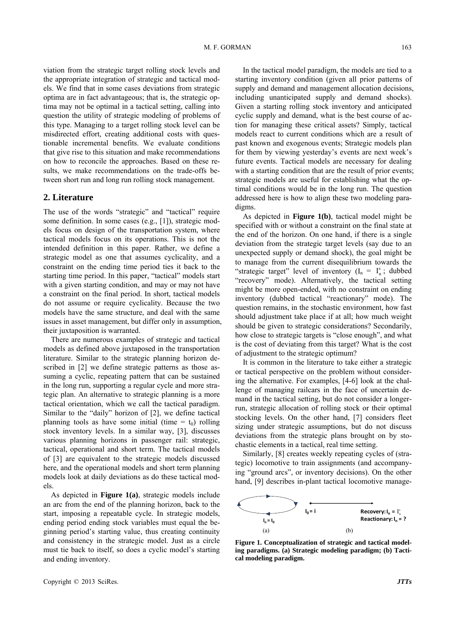viation from the strategic target rolling stock levels and the appropriate integration of strategic and tactical models. We find that in some cases deviations from strategic optima are in fact advantageous; that is, the strategic optima may not be optimal in a tactical setting, calling into question the utility of strategic modeling of problems of this type. Managing to a target rolling stock level can be misdirected effort, creating additional costs with questionable incremental benefits. We evaluate conditions that give rise to this situation and make recommendations on how to reconcile the approaches. Based on these results, we make recommendations on the trade-offs between short run and long run rolling stock management.

#### **2. Literature**

The use of the words "strategic" and "tactical" require some definition. In some cases (e.g., [1]), strategic models focus on design of the transportation system, where tactical models focus on its operations. This is not the intended definition in this paper. Rather, we define a strategic model as one that assumes cyclicality, and a constraint on the ending time period ties it back to the starting time period. In this paper, "tactical" models start with a given starting condition, and may or may not have a constraint on the final period. In short, tactical models do not assume or require cyclicality. Because the two models have the same structure, and deal with the same issues in asset management, but differ only in assumption, their juxtaposition is warranted.

There are numerous examples of strategic and tactical models as defined above juxtaposed in the transportation literature. Similar to the strategic planning horizon described in [2] we define strategic patterns as those assuming a cyclic, repeating pattern that can be sustained in the long run, supporting a regular cycle and more strategic plan. An alternative to strategic planning is a more tactical orientation, which we call the tactical paradigm. Similar to the "daily" horizon of [2], we define tactical planning tools as have some initial (time  $= t_0$ ) rolling stock inventory levels. In a similar way, [3], discusses various planning horizons in passenger rail: strategic, tactical, operational and short term. The tactical models of [3] are equivalent to the strategic models discussed here, and the operational models and short term planning models look at daily deviations as do these tactical models.

As depicted in **Figure 1(a)**, strategic models include an arc from the end of the planning horizon, back to the start, imposing a repeatable cycle. In strategic models, ending period ending stock variables must equal the beginning period's starting value, thus creating continuity and consistency in the strategic model. Just as a circle must tie back to itself, so does a cyclic model's starting and ending inventory.

In the tactical model paradigm, the models are tied to a starting inventory condition (given all prior patterns of supply and demand and management allocation decisions, including unanticipated supply and demand shocks). Given a starting rolling stock inventory and anticipated cyclic supply and demand, what is the best course of action for managing these critical assets? Simply, tactical models react to current conditions which are a result of past known and exogenous events; Strategic models plan for them by viewing yesterday's events are next week's future events. Tactical models are necessary for dealing with a starting condition that are the result of prior events; strategic models are useful for establishing what the optimal conditions would be in the long run. The question addressed here is how to align these two modeling paradigms.

As depicted in **Figure 1(b)**, tactical model might be specified with or without a constraint on the final state at the end of the horizon. On one hand, if there is a single deviation from the strategic target levels (say due to an unexpected supply or demand shock), the goal might be to manage from the current disequilibrium towards the "strategic target" level of inventory  $(I_n = I_n^s$ ; dubbed "recovery" mode). Alternatively, the tactical setting might be more open-ended, with no constraint on ending inventory (dubbed tactical "reactionary" mode). The question remains, in the stochastic environment, how fast should adjustment take place if at all; how much weight should be given to strategic considerations? Secondarily, how close to strategic targets is "close enough", and what is the cost of deviating from this target? What is the cost of adjustment to the strategic optimum?

It is common in the literature to take either a strategic or tactical perspective on the problem without considering the alternative. For examples, [4-6] look at the challenge of managing railcars in the face of uncertain demand in the tactical setting, but do not consider a longerrun, strategic allocation of rolling stock or their optimal stocking levels. On the other hand, [7] considers fleet sizing under strategic assumptions, but do not discuss deviations from the strategic plans brought on by stochastic elements in a tactical, real time setting.

Similarly, [8] creates weekly repeating cycles of (strategic) locomotive to train assignments (and accompanying "ground arcs", or inventory decisions). On the other hand, [9] describes in-plant tactical locomotive manage-



**Figure 1. Conceptualization of strategic and tactical modeling paradigms. (a) Strategic modeling paradigm; (b) Tactical modeling paradigm.**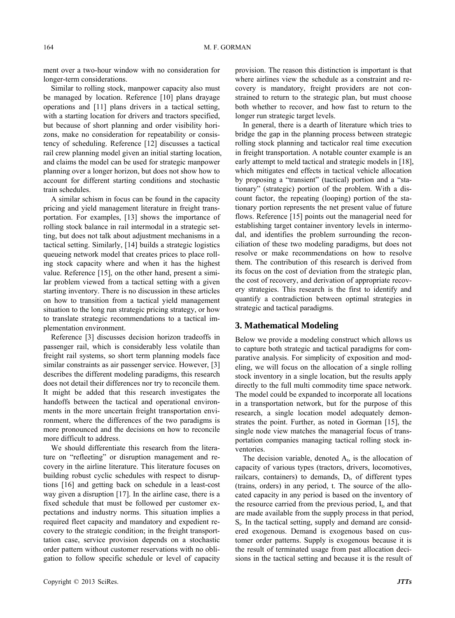ment over a two-hour window with no consideration for longer-term considerations.

Similar to rolling stock, manpower capacity also must be managed by location. Reference [10] plans drayage operations and [11] plans drivers in a tactical setting, with a starting location for drivers and tractors specified, but because of short planning and order visibility horizons, make no consideration for repeatability or consistency of scheduling. Reference [12] discusses a tactical rail crew planning model given an initial starting location, and claims the model can be used for strategic manpower planning over a longer horizon, but does not show how to account for different starting conditions and stochastic train schedules.

A similar schism in focus can be found in the capacity pricing and yield management literature in freight transportation. For examples, [13] shows the importance of rolling stock balance in rail intermodal in a strategic setting, but does not talk about adjustment mechanisms in a tactical setting. Similarly, [14] builds a strategic logistics queueing network model that creates prices to place rolling stock capacity where and when it has the highest value. Reference [15], on the other hand, present a similar problem viewed from a tactical setting with a given starting inventory. There is no discussion in these articles on how to transition from a tactical yield management situation to the long run strategic pricing strategy, or how to translate strategic recommendations to a tactical implementation environment.

Reference [3] discusses decision horizon tradeoffs in passenger rail, which is considerably less volatile than freight rail systems, so short term planning models face similar constraints as air passenger service. However, [3] describes the different modeling paradigms, this research does not detail their differences nor try to reconcile them. It might be added that this research investigates the handoffs between the tactical and operational environments in the more uncertain freight transportation environment, where the differences of the two paradigms is more pronounced and the decisions on how to reconcile more difficult to address.

We should differentiate this research from the literature on "refleeting" or disruption management and recovery in the airline literature. This literature focuses on building robust cyclic schedules with respect to disruptions [16] and getting back on schedule in a least-cost way given a disruption [17]. In the airline case, there is a fixed schedule that must be followed per customer expectations and industry norms. This situation implies a required fleet capacity and mandatory and expedient recovery to the strategic condition; in the freight transporttation case, service provision depends on a stochastic order pattern without customer reservations with no obligation to follow specific schedule or level of capacity

provision. The reason this distinction is important is that where airlines view the schedule as a constraint and recovery is mandatory, freight providers are not constrained to return to the strategic plan, but must choose both whether to recover, and how fast to return to the longer run strategic target levels.

In general, there is a dearth of literature which tries to bridge the gap in the planning process between strategic rolling stock planning and tacticalor real time execution in freight transportation. A notable counter example is an early attempt to meld tactical and strategic models in [18], which mitigates end effects in tactical vehicle allocation by proposing a "transient" (tactical) portion and a "stationary" (strategic) portion of the problem. With a discount factor, the repeating (looping) portion of the stationary portion represents the net present value of future flows. Reference [15] points out the managerial need for establishing target container inventory levels in intermodal, and identifies the problem surrounding the reconciliation of these two modeling paradigms, but does not resolve or make recommendations on how to resolve them. The contribution of this research is derived from its focus on the cost of deviation from the strategic plan, the cost of recovery, and derivation of appropriate recovery strategies. This research is the first to identify and quantify a contradiction between optimal strategies in strategic and tactical paradigms.

#### **3. Mathematical Modeling**

Below we provide a modeling construct which allows us to capture both strategic and tactical paradigms for comparative analysis. For simplicity of exposition and modeling, we will focus on the allocation of a single rolling stock inventory in a single location, but the results apply directly to the full multi commodity time space network. The model could be expanded to incorporate all locations in a transportation network, but for the purpose of this research, a single location model adequately demonstrates the point. Further, as noted in Gorman [15], the single node view matches the managerial focus of transportation companies managing tactical rolling stock inventories.

The decision variable, denoted  $A_t$ , is the allocation of capacity of various types (tractors, drivers, locomotives, railcars, containers) to demands,  $D_t$ , of different types (trains, orders) in any period, t. The source of the allocated capacity in any period is based on the inventory of the resource carried from the previous period,  $I_t$ , and that are made available from the supply process in that period,  $S_t$ . In the tactical setting, supply and demand are considered exogenous. Demand is exogenous based on customer order patterns. Supply is exogenous because it is the result of terminated usage from past allocation decisions in the tactical setting and because it is the result of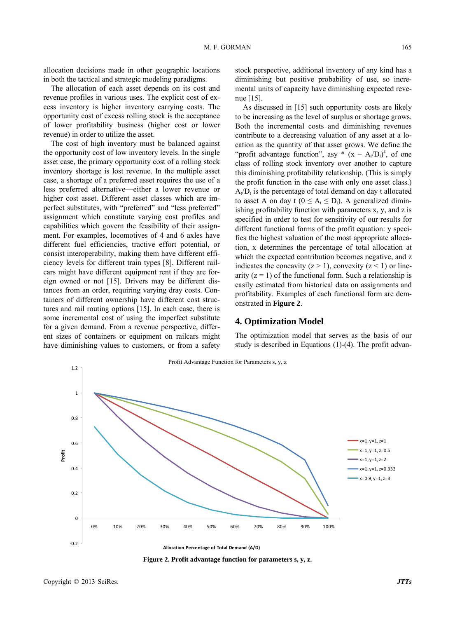allocation decisions made in other geographic locations in both the tactical and strategic modeling paradigms.

The allocation of each asset depends on its cost and revenue profiles in various uses. The explicit cost of excess inventory is higher inventory carrying costs. The opportunity cost of excess rolling stock is the acceptance of lower profitability business (higher cost or lower revenue) in order to utilize the asset.

The cost of high inventory must be balanced against the opportunity cost of low inventory levels. In the single asset case, the primary opportunity cost of a rolling stock inventory shortage is lost revenue. In the multiple asset case, a shortage of a preferred asset requires the use of a less preferred alternative—either a lower revenue or higher cost asset. Different asset classes which are imperfect substitutes, with "preferred" and "less preferred" assignment which constitute varying cost profiles and capabilities which govern the feasibility of their assignment. For examples, locomotives of 4 and 6 axles have different fuel efficiencies, tractive effort potential, or consist interoperability, making them have different efficiency levels for different train types [8]. Different railcars might have different equipment rent if they are foreign owned or not [15]. Drivers may be different distances from an order, requiring varying dray costs. Containers of different ownership have different cost structures and rail routing options [15]. In each case, there is some incremental cost of using the imperfect substitute for a given demand. From a revenue perspective, different sizes of containers or equipment on railcars might have diminishing values to customers, or from a safety

stock perspective, additional inventory of any kind has a diminishing but positive probability of use, so incremental units of capacity have diminishing expected revenue [15].

As discussed in [15] such opportunity costs are likely to be increasing as the level of surplus or shortage grows. Both the incremental costs and diminishing revenues contribute to a decreasing valuation of any asset at a location as the quantity of that asset grows. We define the "profit advantage function", asy  $*(x - A_t/D_t)^z$ , of one class of rolling stock inventory over another to capture this diminishing profitability relationship. (This is simply the profit function in the case with only one asset class.)  $A_t/D_t$  is the percentage of total demand on day t allocated to asset A on day t ( $0 \le A_t \le D_t$ ). A generalized diminishing profitability function with parameters x, y, and z is specified in order to test for sensitivity of our results for different functional forms of the profit equation: y specifies the highest valuation of the most appropriate allocation, x determines the percentage of total allocation at which the expected contribution becomes negative, and z indicates the concavity  $(z > 1)$ , convexity  $(z < 1)$  or linearity  $(z = 1)$  of the functional form. Such a relationship is easily estimated from historical data on assignments and profitability. Examples of each functional form are demonstrated in **Figure 2**.

#### **4. Optimization Model**

The optimization model that serves as the basis of our study is described in Equations (1)-(4). The profit advan-



**Figure 2. Profit advantage function for parameters s, y, z.**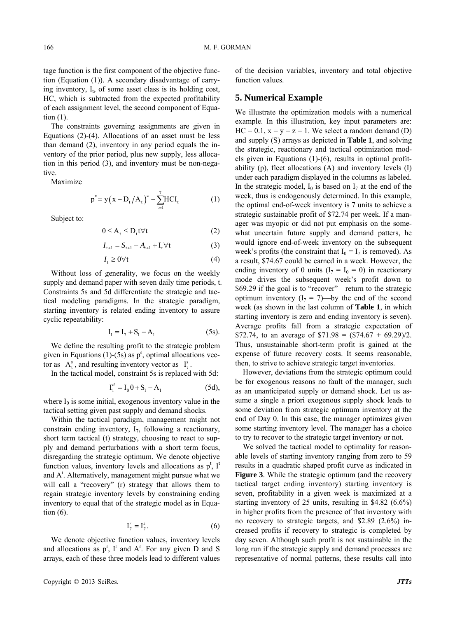tage function is the first component of the objective function (Equation (1)). A secondary disadvantage of carrying inventory,  $I_t$ , of some asset class is its holding cost, HC, which is subtracted from the expected profitability of each assignment level, the second component of Equation (1).

The constraints governing assignments are given in Equations (2)-(4). Allocations of an asset must be less than demand (2), inventory in any period equals the inventory of the prior period, plus new supply, less allocation in this period (3), and inventory must be non-negative.

Maximize

$$
p^* = y(x - D_t / A_t)^{z} - \sum_{t=1}^{7} HCI_t
$$
 (1)

Subject to:

$$
0 \le A_t \le D_t t \forall t \tag{2}
$$

$$
I_{t+1} = S_{t+1} - A_{t+1} + I_t \forall t \tag{3}
$$

$$
I_t \ge 0 \forall t \tag{4}
$$

Without loss of generality, we focus on the weekly supply and demand paper with seven daily time periods, t. Constraints 5s and 5d differentiate the strategic and tactical modeling paradigms. In the strategic paradigm, starting inventory is related ending inventory to assure cyclic repeatability:

$$
I_1 = I_7 + S_1 - A_1 \tag{5s}
$$

We define the resulting profit to the strategic problem given in Equations  $(1)$ - $(5s)$  as  $p^s$ , optimal allocations vector as  $A_t^s$ , and resulting inventory vector as  $I_t^s$ .

In the tactical model, constraint 5s is replaced with 5d:

$$
I_1^d = I_0 0 + S_1 - A_1 \tag{5d},
$$

where  $I_0$  is some initial, exogenous inventory value in the tactical setting given past supply and demand shocks.

Within the tactical paradigm, management might not constrain ending inventory,  $I_7$ , following a reactionary, short term tactical (t) strategy, choosing to react to supply and demand perturbations with a short term focus, disregarding the strategic optimum. We denote objective function values, inventory levels and allocations as  $p^t$ , I<sup>t</sup> and  $A^t$ . Alternatively, management might pursue what we will call a "recovery" (r) strategy that allows them to regain strategic inventory levels by constraining ending inventory to equal that of the strategic model as in Equation  $(6)$ .

$$
\mathbf{I}_7^r = \mathbf{I}_7^s. \tag{6}
$$

We denote objective function values, inventory levels and allocations as  $p^r$ ,  $I^r$  and  $A^r$ . For any given D and S arrays, each of these three models lead to different values

of the decision variables, inventory and total objective function values.

#### **5. Numerical Example**

We illustrate the optimization models with a numerical example. In this illustration, key input parameters are:  $HC = 0.1$ ,  $x = y = z = 1$ . We select a random demand (D) and supply (S) arrays as depicted in **Table 1**, and solving the strategic, reactionary and tactical optimization models given in Equations (1)-(6), results in optimal profitability (p), fleet allocations (A) and inventory levels (I) under each paradigm displayed in the columns as labeled. In the strategic model,  $I_0$  is based on  $I_7$  at the end of the week, thus is endogenously determined. In this example, the optimal end-of-week inventory is 7 units to achieve a strategic sustainable profit of \$72.74 per week. If a manager was myopic or did not put emphasis on the somewhat uncertain future supply and demand patters, he would ignore end-of-week inventory on the subsequent week's profits (the constraint that  $I_0 = I_7$  is removed). As a result, \$74.67 could be earned in a week. However, the ending inventory of 0 units  $(I_7 = I_0 = 0)$  in reactionary mode drives the subsequent week's profit down to \$69.29 if the goal is to "recover"—return to the strategic optimum inventory  $(I_7 = 7)$ —by the end of the second week (as shown in the last column of **Table 1**, in which starting inventory is zero and ending inventory is seven). Average profits fall from a strategic expectation of \$72.74, to an average of  $$71.98 = ($74.67 + 69.29)/2$ . Thus, unsustainable short-term profit is gained at the expense of future recovery costs. It seems reasonable, then, to strive to achieve strategic target inventories.

However, deviations from the strategic optimum could be for exogenous reasons no fault of the manager, such as an unanticipated supply or demand shock. Let us assume a single a priori exogenous supply shock leads to some deviation from strategic optimum inventory at the end of Day 0. In this case, the manager optimizes given some starting inventory level. The manager has a choice to try to recover to the strategic target inventory or not.

We solved the tactical model to optimality for reasonable levels of starting inventory ranging from zero to 59 results in a quadratic shaped profit curve as indicated in **Figure 3**. While the strategic optimum (and the recovery tactical target ending inventory) starting inventory is seven, profitability in a given week is maximized at a starting inventory of 25 units, resulting in \$4.82 (6.6%) in higher profits from the presence of that inventory with no recovery to strategic targets, and \$2.89 (2.6%) increased profits if recovery to strategic is completed by day seven. Although such profit is not sustainable in the long run if the strategic supply and demand processes are representative of normal patterns, these results call into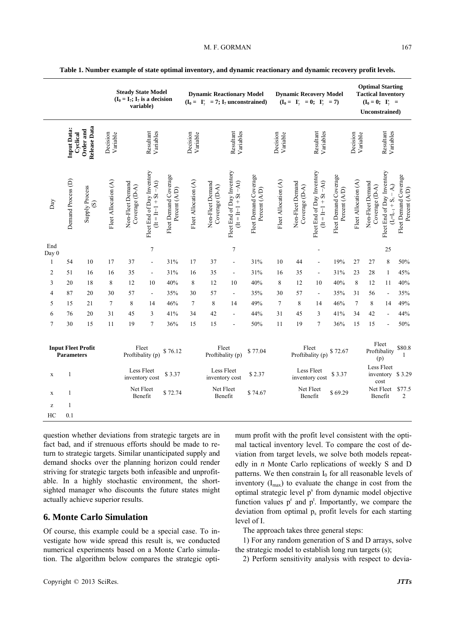|                                                |                                | <b>Steady State Model</b><br>$(I_0 = I_7; I_7$ is a decision<br>variable) |                      |                                      |                                                         |                                        | <b>Dynamic Reactionary Model</b><br>$(I_0 = I_7^s = 7; I_7$ unconstrained) |                                    |                                                         | <b>Dynamic Recovery Model</b><br>$(I_0 = I_7^r = 0; I_7^s = 7)$ |                      |                                    | <b>Optimal Starting</b><br><b>Tactical Inventory</b><br>$(I_0 = 0; I_7^* =$<br>Unconstrained) |                                        |                              |                                    |                                                             |                                        |
|------------------------------------------------|--------------------------------|---------------------------------------------------------------------------|----------------------|--------------------------------------|---------------------------------------------------------|----------------------------------------|----------------------------------------------------------------------------|------------------------------------|---------------------------------------------------------|-----------------------------------------------------------------|----------------------|------------------------------------|-----------------------------------------------------------------------------------------------|----------------------------------------|------------------------------|------------------------------------|-------------------------------------------------------------|----------------------------------------|
|                                                | <b>Input Data:</b><br>Cyclical | Release<br>Data<br>Order and                                              | Decision<br>Variable |                                      | Resultant<br>Variables                                  |                                        | Decision<br>Variable                                                       |                                    | Resultant<br>Variables                                  |                                                                 | Decision<br>Variable |                                    | Resultant<br>Variables                                                                        |                                        | Decision<br>Variable         |                                    | Resultant<br>Variables                                      |                                        |
| Day                                            | Demand Process (D)             | Supply Process<br>$\circledS$                                             | Fleet Allocation (A) | Non-Fleet Demand<br>Coverage $(D-A)$ | Fleet End of Day Inventory<br>$(1t = 1t - 1 + St - At)$ | Fleet Demand Coverage<br>Percent (A/D) | Fleet Allocation (A)                                                       | Non-Fleet Demand<br>Coverage (D-A) | Fleet End of Day Inventory<br>$(1t = 1t - 1 + St - At)$ | Fleet Demand Coverage<br>Percent (A/D)                          | Fleet Allocation (A) | Non-Fleet Demand<br>Coverage (D-A) | Fleet End of Day Inventory<br>$(1t = 1t-1 + St - At)$                                         | Fleet Demand Coverage<br>Percent (A/D) | Fleet Allocation (A)         | Non-Fleet Demand<br>Coverage (D-A) | Fleet End of Day Inventory<br>$(I_f = I_{t-1} + S_t - A_t)$ | Fleet Demand Coverage<br>Percent (A/D) |
| End<br>Day 0                                   |                                |                                                                           |                      |                                      | $\tau$                                                  |                                        |                                                                            |                                    | $\boldsymbol{7}$                                        |                                                                 |                      |                                    |                                                                                               |                                        |                              |                                    | 25                                                          |                                        |
| $\mathbf{1}$                                   | 54                             | $10\,$                                                                    | 17                   | 37                                   | $\blacksquare$                                          | 31%                                    | 17                                                                         | 37                                 | $\blacksquare$                                          | 31%                                                             | 10                   | 44                                 | $\overline{\phantom{a}}$                                                                      | 19%                                    | 27                           | 27                                 | $\,$ 8 $\,$                                                 | 50%                                    |
| 2                                              | 51                             | 16                                                                        | 16                   | 35                                   | $\blacksquare$                                          | 31%                                    | 16                                                                         | 35                                 | $\blacksquare$                                          | 31%                                                             | 16                   | 35                                 | $\blacksquare$                                                                                | 31%                                    | 23                           | 28                                 | $\mathbf{1}$                                                | 45%                                    |
| 3                                              | 20                             | 18                                                                        | 8                    | 12                                   | 10                                                      | 40%                                    | $\,8\,$                                                                    | $12\,$                             | 10                                                      | 40%                                                             | 8                    | 12                                 | 10                                                                                            | 40%                                    | $\,$ 8 $\,$                  | 12                                 | $11\,$                                                      | 40%                                    |
| 4                                              | 87                             | 20                                                                        | 30                   | 57                                   | $\overline{\phantom{a}}$                                | 35%                                    | 30                                                                         | 57                                 | $\overline{\phantom{a}}$                                | 35%                                                             | 30                   | 57                                 | $\overline{\phantom{a}}$                                                                      | 35%                                    | 31                           | 56                                 | $\Box$                                                      | 35%                                    |
| 5                                              | 15                             | 21                                                                        | $7\phantom{.0}$      | 8                                    | 14                                                      | 46%                                    | $\tau$                                                                     | $\,$ 8 $\,$                        | 14                                                      | 49%                                                             | $\tau$               | $\,8\,$                            | 14                                                                                            | 46%                                    | $\overline{7}$               | 8                                  | 14                                                          | 49%                                    |
| 6                                              | 76                             | 20                                                                        | 31                   | 45                                   | 3                                                       | 41%                                    | 34                                                                         | 42                                 | $\blacksquare$                                          | 44%                                                             | 31                   | 45                                 | 3                                                                                             | 41%                                    | 34                           | 42                                 | $\overline{a}$                                              | 44%                                    |
| $\overline{7}$                                 | 30                             | 15                                                                        | 11                   | 19                                   | $\tau$                                                  | 36%                                    | 15                                                                         | 15                                 | ÷,                                                      | $50\%$                                                          | 11                   | 19                                 | $\boldsymbol{7}$                                                                              | 36%                                    | 15                           | 15                                 |                                                             | 50%                                    |
| <b>Input Fleet Profit</b><br><b>Parameters</b> |                                | Fleet<br>\$76.12<br>Proftibality (p)                                      |                      |                                      | Fleet<br>\$77.04<br>Proftibality (p)                    |                                        |                                                                            |                                    | Fleet<br>Proftibality (p)                               |                                                                 |                      | \$72.67                            |                                                                                               |                                        | Fleet<br>Proftibality<br>(p) | \$80.8<br>$\mathbf{1}$             |                                                             |                                        |
| $\mathbf X$                                    | $\mathbf{1}$                   |                                                                           |                      | Less Fleet                           | inventory cost                                          | \$3.37                                 |                                                                            | Less Fleet                         | inventory cost                                          | \$2.37                                                          |                      |                                    | Less Fleet<br>inventory cost                                                                  | \$3.37                                 |                              |                                    | Less Fleet<br>cost                                          | inventory \$3.29                       |
| $\mathbf X$                                    | $\mathbf{1}$                   |                                                                           |                      |                                      | Net Fleet<br>Benefit                                    | \$72.74                                |                                                                            | Net Fleet                          | Benefit                                                 | \$74.67                                                         |                      |                                    | Net Fleet<br>Benefit                                                                          | \$69.29                                |                              |                                    | Benefit                                                     | Net Fleet \$77.5<br>$\overline{2}$     |
| z                                              | 1                              |                                                                           |                      |                                      |                                                         |                                        |                                                                            |                                    |                                                         |                                                                 |                      |                                    |                                                                                               |                                        |                              |                                    |                                                             |                                        |
| HC                                             | 0.1                            |                                                                           |                      |                                      |                                                         |                                        |                                                                            |                                    |                                                         |                                                                 |                      |                                    |                                                                                               |                                        |                              |                                    |                                                             |                                        |

**Table 1. Number example of state optimal inventory, and dynamic reactionary and dynamic recovery profit levels.** 

question whether deviations from strategic targets are in fact bad, and if strenuous efforts should be made to return to strategic targets. Similar unanticipated supply and demand shocks over the planning horizon could render striving for strategic targets both infeasible and unprofitable. In a highly stochastic environment, the shortsighted manager who discounts the future states might actually achieve superior results.

## **6. Monte Carlo Simulation**

Of course, this example could be a special case. To investigate how wide spread this result is, we conducted numerical experiments based on a Monte Carlo simulation. The algorithm below compares the strategic optimum profit with the profit level consistent with the optimal tactical inventory level. To compare the cost of deviation from target levels, we solve both models repeatedly in *n* Monte Carlo replications of weekly S and D patterns. We then constrain  $I_0$  for all reasonable levels of inventory  $(I_{\text{max}})$  to evaluate the change in cost from the optimal strategic level p<sup>s</sup> from dynamic model objective function values  $p^r$  and  $p^t$ . Importantly, we compare the deviation from optimal  $p_s$  profit levels for each starting level of I.

The approach takes three general steps:

1) For any random generation of S and D arrays, solve the strategic model to establish long run targets (s);

2) Perform sensitivity analysis with respect to devia-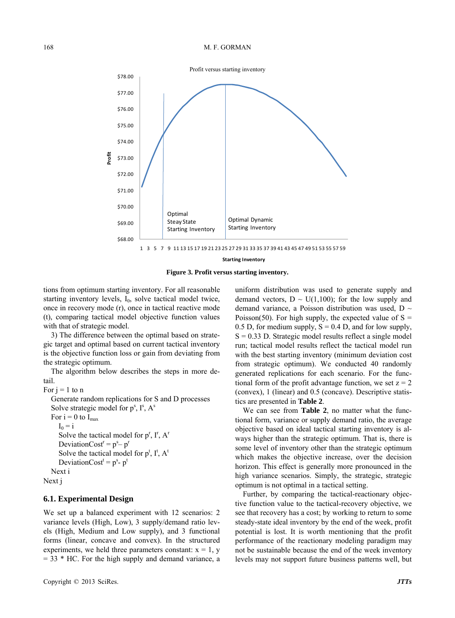

**Figure 3. Profit versus starting inventory.** 

tions from optimum starting inventory. For all reasonable starting inventory levels, I<sub>0</sub>, solve tactical model twice, once in recovery mode (r), once in tactical reactive mode (t), comparing tactical model objective function values with that of strategic model.

3) The difference between the optimal based on strategic target and optimal based on current tactical inventory is the objective function loss or gain from deviating from the strategic optimum.

The algorithm below describes the steps in more detail.

```
For i = 1 to n
```
Generate random replications for S and D processes Solve strategic model for  $p^s$ ,  $I^s$ ,  $A^s$ 

```
For i = 0 to I_{max}I_0 = iSolve the tactical model for p^{r}, I^{r}, A^{r}DeviationCost<sup>r</sup> = p^s - p^rSolve the tactical model for p^t, I^t, A^tDeviationCost<sup>t</sup> = p^s- p^tNext i
```
Next j

#### **6.1. Experimental Design**

We set up a balanced experiment with 12 scenarios: 2 variance levels (High, Low), 3 supply/demand ratio levels (High, Medium and Low supply), and 3 functional forms (linear, concave and convex). In the structured experiments, we held three parameters constant:  $x = 1$ , y  $=$  33  $*$  HC. For the high supply and demand variance, a uniform distribution was used to generate supply and demand vectors,  $D \sim U(1,100)$ ; for the low supply and demand variance, a Poisson distribution was used,  $D \sim$ Poisson(50). For high supply, the expected value of  $S =$ 0.5 D, for medium supply,  $S = 0.4$  D, and for low supply,  $S = 0.33$  D. Strategic model results reflect a single model run; tactical model results reflect the tactical model run with the best starting inventory (minimum deviation cost from strategic optimum). We conducted 40 randomly generated replications for each scenario. For the functional form of the profit advantage function, we set  $z = 2$ (convex), 1 (linear) and 0.5 (concave). Descriptive statistics are presented in **Table 2**.

We can see from **Table 2**, no matter what the functional form, variance or supply demand ratio, the average objective based on ideal tactical starting inventory is always higher than the strategic optimum. That is, there is some level of inventory other than the strategic optimum which makes the objective increase, over the decision horizon. This effect is generally more pronounced in the high variance scenarios. Simply, the strategic, strategic optimum is not optimal in a tactical setting.

Further, by comparing the tactical-reactionary objective function value to the tactical-recovery objective, we see that recovery has a cost; by working to return to some steady-state ideal inventory by the end of the week, profit potential is lost. It is worth mentioning that the profit performance of the reactionary modeling paradigm may not be sustainable because the end of the week inventory levels may not support future business patterns well, but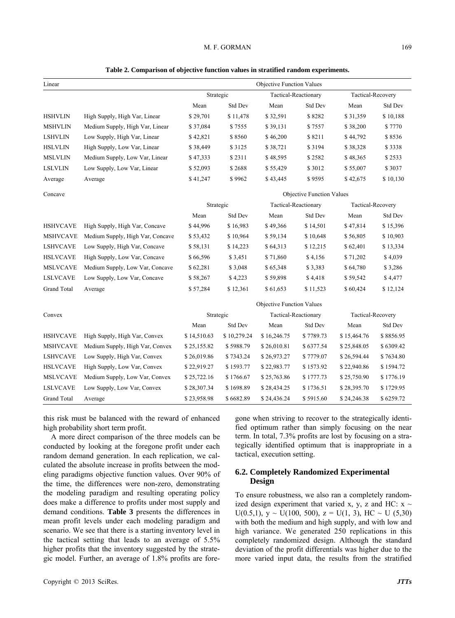#### M. F. GORMAN 169

| Table 2. Comparison of objective function values in stratified random experiments. |
|------------------------------------------------------------------------------------|
|------------------------------------------------------------------------------------|

| Linear             |                                  |                                  |             | <b>Objective Function Values</b> |                      |                   |           |  |  |  |
|--------------------|----------------------------------|----------------------------------|-------------|----------------------------------|----------------------|-------------------|-----------|--|--|--|
|                    |                                  |                                  | Strategic   |                                  | Tactical-Reactionary | Tactical-Recovery |           |  |  |  |
|                    |                                  | Mean                             | Std Dev     | Mean                             | Std Dev              | Mean              | Std Dev   |  |  |  |
| <b>HSHVLIN</b>     | High Supply, High Var, Linear    | \$29,701                         | \$11,478    | \$32,591                         | \$8282               | \$31,359          | \$10,188  |  |  |  |
| <b>MSHVLIN</b>     | Medium Supply, High Var, Linear  | \$37,084                         | \$7555      | \$39,131                         | \$7557               | \$38,200          | \$7770    |  |  |  |
| <b>LSHVLIN</b>     | Low Supply, High Var, Linear     | \$42,821                         | \$8560      | \$46,200                         | \$8211               | \$44,792          | \$8536    |  |  |  |
| <b>HSLVLIN</b>     | High Supply, Low Var, Linear     | \$38,449                         | \$3125      | \$38,721                         | \$3194               | \$38,328          | \$3338    |  |  |  |
| <b>MSLVLIN</b>     | Medium Supply, Low Var, Linear   | \$47,333                         | \$2311      | \$48,595                         | \$2582               | \$48,365          | \$2533    |  |  |  |
| <b>LSLVLIN</b>     | Low Supply, Low Var, Linear      | \$52,093                         | \$2688      | \$55,429                         | \$3012               | \$55,007          | \$3037    |  |  |  |
| Average            | Average                          | \$41,247                         | \$9962      | \$43,445                         | \$9595               | \$42,675          | \$10,130  |  |  |  |
| Concave            |                                  | <b>Objective Function Values</b> |             |                                  |                      |                   |           |  |  |  |
|                    |                                  |                                  | Strategic   |                                  | Tactical-Reactionary | Tactical-Recovery |           |  |  |  |
|                    |                                  | Mean                             | Std Dev     | Mean                             | Std Dev              | Mean              | Std Dev   |  |  |  |
| <b>HSHVCAVE</b>    | High Supply, High Var, Concave   | \$44,996                         | \$16,983    | \$49,366                         | \$14,501             | \$47,814          | \$15,396  |  |  |  |
| <b>MSHVCAVE</b>    | Medium Supply, High Var, Concave | \$53,432                         | \$10,964    | \$59,134                         | \$10,648             | \$56,805          | \$10,903  |  |  |  |
| <b>LSHVCAVE</b>    | Low Supply, High Var, Concave    | \$58,131                         | \$14,223    | \$64,313                         | \$12,215             | \$62,401          | \$13,334  |  |  |  |
| <b>HSLVCAVE</b>    | High Supply, Low Var, Concave    | \$66,596                         | \$3,451     | \$71,860                         | \$4,156              | \$71,202          | \$4,039   |  |  |  |
| <b>MSLVCAVE</b>    | Medium Supply, Low Var, Concave  | \$62,281                         | \$3,048     | \$65,348                         | \$3,383              | \$64,780          | \$3,286   |  |  |  |
| <b>LSLVCAVE</b>    | Low Supply, Low Var, Concave     | \$58,267                         | \$4,223     | \$59,898                         | \$4,418              | \$59,542          | \$4,477   |  |  |  |
| <b>Grand Total</b> | Average                          | \$57,284                         | \$12,361    | \$61,653                         | \$11,523             | \$60,424          | \$12,124  |  |  |  |
|                    |                                  | <b>Objective Function Values</b> |             |                                  |                      |                   |           |  |  |  |
| Convex             |                                  |                                  | Strategic   | Tactical-Reactionary             |                      | Tactical-Recovery |           |  |  |  |
|                    |                                  | Mean                             | Std Dev     | Mean                             | Std Dev              | Mean              | Std Dev   |  |  |  |
| <b>HSHVCAVE</b>    | High Supply, High Var, Convex    | \$14,510.63                      | \$10,279.24 | \$16,246.75                      | \$7789.73            | \$15,464.76       | \$8856.95 |  |  |  |
| <b>MSHVCAVE</b>    | Medium Supply, High Var, Convex  | \$25,155.82                      | \$5988.79   | \$26,010.81                      | \$6377.54            | \$25,848.05       | \$6309.42 |  |  |  |
| <b>LSHVCAVE</b>    | Low Supply, High Var, Convex     | \$26,019.86                      | \$7343.24   | \$26,973.27                      | \$7779.07            | \$26,594.44       | \$7634.80 |  |  |  |
| <b>HSLVCAVE</b>    | High Supply, Low Var, Convex     | \$22,919.27                      | \$1593.77   | \$22,983.77                      | \$1573.92            | \$22,940.86       | \$1594.72 |  |  |  |
| <b>MSLVCAVE</b>    | Medium Supply, Low Var, Convex   | \$25,722.16                      | \$1766.67   | \$25,763.86                      | \$1777.73            | \$25,750.90       | \$1776.19 |  |  |  |
| <b>LSLVCAVE</b>    | Low Supply, Low Var, Convex      | \$28,307.34                      | \$1698.89   | \$28,434.25                      | \$1736.51            | \$28,395.70       | \$1729.95 |  |  |  |
| Grand Total        | Average                          | \$23,958.98                      | \$6682.89   | \$24,436.24                      | \$5915.60            | \$24,246.38       | \$6259.72 |  |  |  |

this risk must be balanced with the reward of enhanced high probability short term profit.

A more direct comparison of the three models can be co nducted by looking at the foregone profit under each random demand generation. In each replication, we calculated the absolute increase in profits between the modeling paradigms objective function values. Over 90% of the time, the differences were non-zero, demonstrating the modeling paradigm and resulting operating policy does make a difference to profits under most supply and demand conditions. **Table 3** presents the differences in mean profit levels under each modeling paradigm and scenario. We see that there is a starting inventory level in the tactical setting that leads to an average of 5.5% higher profits that the inventory suggested by the strategic model. Further, an average of 1.8% profits are foregone when striving to recover to the strategically identified optimum rather than simply focusing on the near term. In total, 7.3% profits are lost by focusing on a strategically identified optimum that is inappropriate in a tactical, execution setting.

#### **6.2. Completely Randomized Experimental Design**

To ensure robustness, we also ran a completely randomized design experiment that varied x, y, z and HC:  $x \sim$ U(0.5,1),  $y \sim U(100, 500)$ ,  $z = U(1, 3)$ , HC  $\sim U(5, 30)$ with both the medium and high supply, and with low and high variance. We generated 250 replications in this completely randomized design. Although the standard deviation of the profit differentials was higher due to the more varied input data, the results from the stratified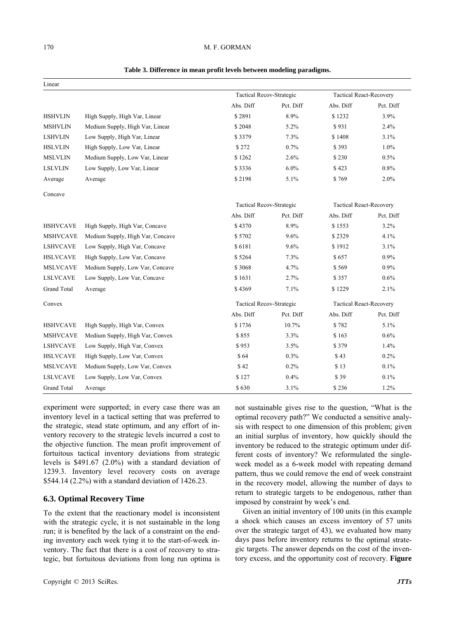#### 170 M. F. GORMAN

| Linear             |                                  |                                 |                                |                                |           |  |
|--------------------|----------------------------------|---------------------------------|--------------------------------|--------------------------------|-----------|--|
|                    |                                  | <b>Tactical Recov-Strategic</b> |                                | <b>Tactical React-Recovery</b> |           |  |
|                    |                                  | Abs. Diff                       | Pct. Diff                      | Abs. Diff                      | Pct. Diff |  |
| <b>HSHVLIN</b>     | High Supply, High Var, Linear    | \$2891                          | 8.9%                           | \$1232                         | 3.9%      |  |
| <b>MSHVLIN</b>     | Medium Supply, High Var, Linear  | \$2048                          | 5.2%                           | \$931                          | 2.4%      |  |
| <b>LSHVLIN</b>     | Low Supply, High Var, Linear     | \$3379                          | 7.3%                           | \$1408                         | 3.1%      |  |
| <b>HSLVLIN</b>     | High Supply, Low Var, Linear     | \$272                           | 0.7%                           | \$393                          | 1.0%      |  |
| <b>MSLVLIN</b>     | Medium Supply, Low Var, Linear   | \$1262                          | 2.6%                           | \$230                          | 0.5%      |  |
| <b>LSLVLIN</b>     | Low Supply, Low Var, Linear      | \$3336                          | 6.0%                           | \$423                          | 0.8%      |  |
| Average            | Average                          | \$2198                          | 5.1%                           | \$769                          | 2.0%      |  |
| Concave            |                                  |                                 |                                |                                |           |  |
|                    |                                  | Tactical Recov-Strategic        |                                | <b>Tactical React-Recovery</b> |           |  |
|                    |                                  | Abs. Diff                       | Pct. Diff                      | Abs. Diff                      | Pct. Diff |  |
| <b>HSHVCAVE</b>    | High Supply, High Var, Concave   | \$4370                          | 8.9%                           | \$1553                         | 3.2%      |  |
| <b>MSHVCAVE</b>    | Medium Supply, High Var, Concave | \$5702                          | 9.6%                           | \$2329                         | 4.1%      |  |
| <b>LSHVCAVE</b>    | Low Supply, High Var, Concave    | \$6181                          | 9.6%                           | \$1912                         | 3.1%      |  |
| <b>HSLVCAVE</b>    | High Supply, Low Var, Concave    | \$5264                          | 7.3%                           | \$657                          | 0.9%      |  |
| <b>MSLVCAVE</b>    | Medium Supply, Low Var, Concave  | \$3068                          | 4.7%                           | \$569                          | 0.9%      |  |
| <b>LSLVCAVE</b>    | Low Supply, Low Var, Concave     | \$1631                          | 2.7%                           | \$357                          | 0.6%      |  |
| <b>Grand Total</b> | Average                          | \$4369                          | 7.1%                           | \$1229                         | 2.1%      |  |
| Convex             |                                  | Tactical Recov-Strategic        | <b>Tactical React-Recovery</b> |                                |           |  |
|                    |                                  | Abs. Diff                       | Pct. Diff                      | Abs. Diff                      | Pct. Diff |  |
| <b>HSHVCAVE</b>    | High Supply, High Var, Convex    | \$1736                          | 10.7%                          | \$782                          | 5.1%      |  |
| <b>MSHVCAVE</b>    | Medium Supply, High Var, Convex  | \$855                           | 3.3%                           | \$163                          | 0.6%      |  |
| <b>LSHVCAVE</b>    | Low Supply, High Var, Convex     | \$953                           | 3.5%                           | \$379                          | 1.4%      |  |
| <b>HSLVCAVE</b>    | High Supply, Low Var, Convex     | \$64                            | 0.3%                           | \$43                           | 0.2%      |  |
| <b>MSLVCAVE</b>    | Medium Supply, Low Var, Convex   | \$42                            | 0.2%                           | \$13                           | 0.1%      |  |
| <b>LSLVCAVE</b>    | Low Supply, Low Var, Convex      | \$127                           | 0.4%                           | \$39                           | 0.1%      |  |
| <b>Grand Total</b> | Average                          | \$630                           | 3.1%                           | \$236                          | 1.2%      |  |

#### Table 3. Difference in mean profit levels between modeling paradigms.

experiment were supported; in every case there was an inventory level in a tactical setting that was preferred to the strategic, stead state optimum, and any effort of inventory recovery to the strategic levels incurred a cost to the objective function. The mean profit improvement of fortuitous tactical inventory deviations from strategic levels is \$491.67 (2.0%) with a standard deviation of 1239.3. Inventory level recovery costs on average \$544.14 (2.2%) with a standard deviation of 1426.23.

#### **6.3. Optimal Recovery Time**

To the extent that the reactionary model is inconsistent with the strategic cycle, it is not sustainable in the long run; it is benefited by the lack of a constraint on the ending inventory each week tying it to the start-of-week inventory. The fact that there is a cost of recovery to strategic, but fortuitous deviations from long run optima is

not sustainable gives rise to the question, "What is the optimal recovery path?" We conducted a sensitive analysis with respect to one dimension of this problem; given an initial surplus of inventory, how quickly should the inventory be reduced to the strategic optimum under different costs of inventory? We reformulated the singleweek model as a 6-week model with repeating demand pattern, thus we could remove the end of week constraint in the recovery model, allowing the number of days to return to strategic targets to be endogenous, rather than imposed by constraint by week's end.

days pass before inventory returns to the optimal strategi c targets. The answer depends on the cost of the inven-Given an initial inventory of 100 units (in this example a shock which causes an excess inventory of 57 units over the strategic target of 43), we evaluated how many tory excess, and the opportunity cost of recovery. **Figure**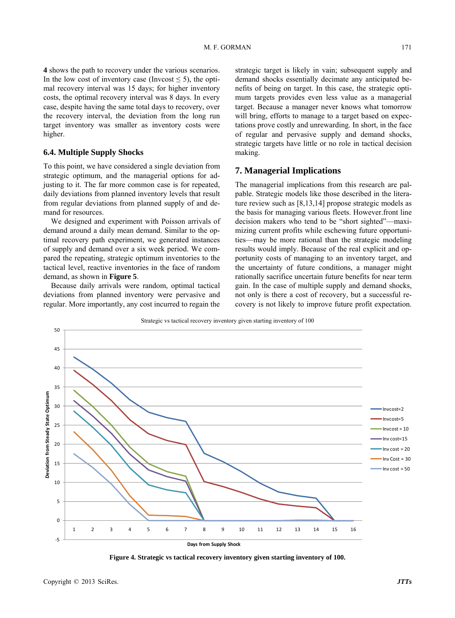**4** shows the path to recovery under the various scenarios. In the low cost of inventory case (Invcost  $\leq$  5), the optimal recovery interval was 15 days; for higher inventory costs, the optimal recovery interval was 8 days. In every case, despite having the same total days to recovery, over the recovery interval, the deviation from the long run target inventory was smaller as inventory costs were higher.

#### **6.4. Multiple Supply Shocks**

To this point, we have considered a single deviation from strategic optimum, and the managerial options for adjusting to it. The far more common case is for repeated, daily deviations from planned inventory levels that result from regular deviations from planned supply of and demand for resources.

of supply and demand over a six week period. We compa red the repeating, strategic optimum inventories to the We designed and experiment with Poisson arrivals of demand around a daily mean demand. Similar to the optimal recovery path experiment, we generated instances tactical level, reactive inventories in the face of random demand, as shown in **Figure 5**.

Because daily arrivals were random, optimal tactical deviations from planned inventory were pervasive and regular. More importantly, any cost incurred to regain the

strategic target is likely in vain; subsequent supply and demand shocks essentially decimate any anticipated benefits of being on target. In this case, the strategic optimum targets provides even less value as a managerial target. Because a manager never knows what tomorrow will bring, efforts to manage to a target based on expectations prove costly and unrewarding. In short, in the face of regular and pervasive supply and demand shocks, strategic targets have little or no role in tactical decision making.

## **7. Managerial Implications**

The managerial implications from this research are palpable. Strategic models like those described in the literature review such as [8,13,14] propose strategic models as the basis for managing various fleets. However.front line decision makers who tend to be "short sighted"—maximizing current profits while eschewing future opportunities—may be more rational than the strategic modeling results would imply. Because of the real explicit and opportunity costs of managing to an inventory target, and the uncertainty of future conditions, a manager might rationally sacrifice uncertain future benefits for near term gain. In the case of multiple supply and demand shocks, not only is there a cost of recovery, but a successful recovery is not likely to improve future profit expectation.



**Days from Supply Shock**

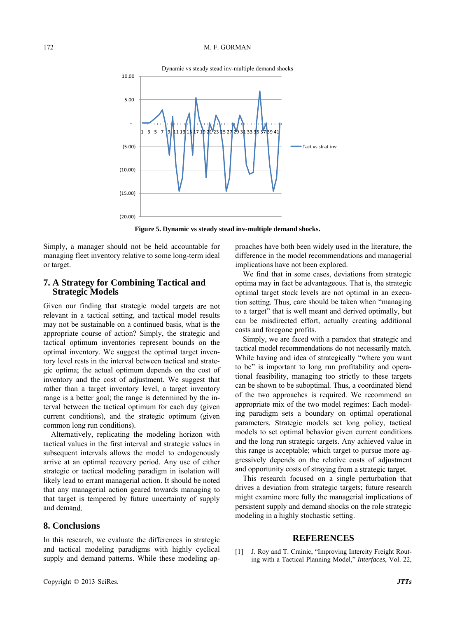

**Figure 5. Dynamic vs steady stead inv-multiple demand shocks.** 

Simply, a manager should not be held accountable for managing fleet inventory relative to some long-term ideal or target.

## **7. A Strategy for Combining Tactical and Strategic Models**

Given our finding that strategic model targets are not relevant in a tactical setting, and tactical model results may not be sustainable on a continued basis, what is the appropriate course of action? Simply, the strategic and tactical optimum inventories represent bounds on the optimal inventory. We suggest the optimal target inventory level rests in the interval between tactical and strategic optima; the actual optimum depends on the cost of inventory and the cost of adjustment. We suggest that rather than a target inventory level, a target inventory range is a better goal; the range is determined by the interval between the tactical optimum for each day (given current conditions), and the strategic optimum (given common long run conditions).

Alternatively, replicating the modeling horizon with tactical values in the first interval and strategic values in subsequent intervals allows the model to endogenously arrive at an optimal recover y period. Any use of either strategic or tactical modeling paradigm in isolation will and opportunity costs of stray and demand. likely lead to errant managerial action. It should be noted that any managerial action geared towards managing to that target is tempered by future uncertainty of supply

## **8. Conclusions**

In this research, we evaluate the differences in strategic and tactical modeling paradigms with highly cyclical supply and demand patterns. While these modeling approaches have both been widely used in the literature, the difference in the model recommendations and managerial implications have not been explored.

We find that in some cases, deviations from strategic optima may in fact be advantageous. That is, the strategic optimal target stock levels are not optimal in an execudel targets are not tion setting. Thus, care should be taken when "managing" to a target" that is well meant and derived optimally, but can be misdirected effort, actually creating additional costs and foregone profits.

> Simply, we are faced with a paradox that strategic and tactical model recommendations do not necessarily match. While having and idea of strategically "where you want to be" is important to long run profitability and operational feasibility, managing too strictly to these targets can be shown to be suboptimal. Thus, a coordinated blend of the two approaches is required. We recommend an appropriate mix of the two model regimes: Each modeling paradigm sets a boundary on optimal operational parameters. Strategic models set long policy, tactical models to set optimal behavior given current conditions and the long run strategic targets. Any achieved value in this range is acceptable; which target to pursue more aggressively depends on the relative costs of adjustment and opportunity costs of straying from a strategic target.

> This research focused on a single perturbation that drives a deviation from strategic targets; future research might examine more fully the managerial implications of persistent supply and demand shocks on the role strategic modeling in a highly stochastic setting.

## **REFERENCES**

[1] J. Roy and T. Crainic, "Improving Intercity Freight Routing with a Tactical Planning Model," *Interfaces*, Vol. 22,